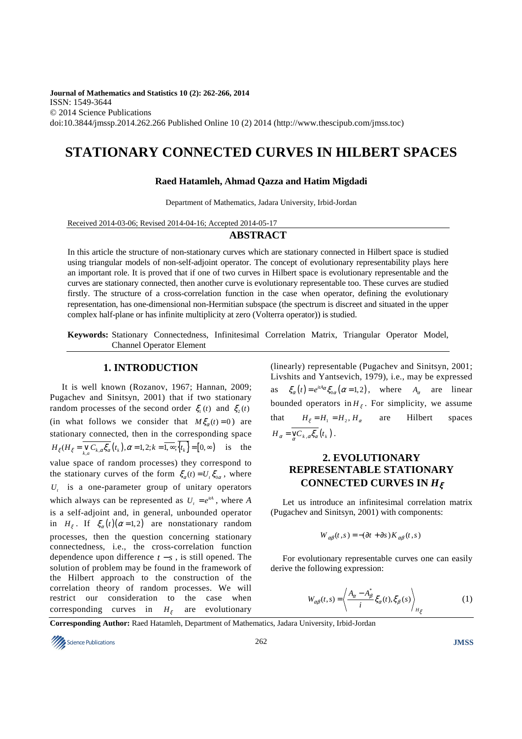**Journal of Mathematics and Statistics 10 (2): 262-266, 2014**  ISSN: 1549-3644 © 2014 Science Publications doi:10.3844/jmssp.2014.262.266 Published Online 10 (2) 2014 (http://www.thescipub.com/jmss.toc)

# **STATIONARY CONNECTED CURVES IN HILBERT SPACES**

## **Raed Hatamleh, Ahmad Qazza and Hatim Migdadi**

Department of Mathematics, Jadara University, Irbid-Jordan

Received 2014-03-06; Revised 2014-04-16; Accepted 2014-05-17

# **ABSTRACT**

In this article the structure of non-stationary curves which are stationary connected in Hilbert space is studied using triangular models of non-self-adjoint operator. The concept of evolutionary representability plays here an important role. It is proved that if one of two curves in Hilbert space is evolutionary representable and the curves are stationary connected, then another curve is evolutionary representable too. These curves are studied firstly. The structure of a cross-correlation function in the case when operator, defining the evolutionary representation, has one-dimensional non-Hermitian subspace (the spectrum is discreet and situated in the upper complex half-plane or has infinite multiplicity at zero (Volterra operator)) is studied.

**Keywords:** Stationary Connectedness, Infinitesimal Correlation Matrix, Triangular Operator Model, Channel Operator Element

# **1. INTRODUCTION**

It is well known (Rozanov, 1967; Hannan, 2009; Pugachev and Sinitsyn, 2001) that if two stationary random processes of the second order  $\xi_1(t)$  and  $\xi_2(t)$ (in what follows we consider that  $M\xi_{\alpha}(t) = 0$ ) are stationary connected, then in the corresponding space  $H_{\xi} (H_{\xi} = \mathop{\vee}\limits_{k,a} C_{k,a} \xi_{\alpha} (t_k), \alpha = 1, 2; k = \overline{1, \infty}; \{t_k\} = [0, \infty)$  is the value space of random processes) they correspond to the stationary curves of the form  $\xi_{\alpha}(t) = U_{\alpha} \xi_{0\alpha}$ , where  $U_t$  is a one-parameter group of unitary operators which always can be represented as  $U_i = e^{iA}$ , where *A* is a self-adjoint and, in general, unbounded operator in  $H_{\xi}$ . If  $\xi_{\alpha}(t)(\alpha=1,2)$  are nonstationary random processes, then the question concerning stationary connectedness, i.e., the cross-correlation function dependence upon difference  $t - s$ , is still opened. The solution of problem may be found in the framework of the Hilbert approach to the construction of the correlation theory of random processes. We will restrict our consideration to the case when corresponding curves in  $H_{\xi}$ are evolutionary

(linearly) representable (Pugachev and Sinitsyn, 2001; Livshits and Yantsevich, 1979), i.e., may be expressed as  $\xi_{\alpha}(t) = e^{itA_{\alpha}} \xi_{0\alpha}(\alpha = 1,2)$ , where  $A_{\alpha}$  are linear bounded operators in  $H_{\xi}$ . For simplicity, we assume that  $H_{\xi} = H_1 = H_2, H_{\alpha}$  are Hilbert spaces  $H_{\alpha} = \mathcal{C}_{k,\alpha} \xi_{\alpha} (t_k).$ 

# **2. EVOLUTIONARY REPRESENTABLE STATIONARY CONNECTED CURVES IN** *H*<sup>ξ</sup>

Let us introduce an infinitesimal correlation matrix (Pugachev and Sinitsyn, 2001) with components:

$$
W_{\alpha\beta}(t,s) = -(\partial t + \partial s) K_{\alpha\beta}(t,s)
$$

For evolutionary representable curves one can easily derive the following expression:

$$
W_{\alpha\beta}(t,s) = \left\langle \frac{A_{\alpha} - A_{\beta}^*}{i} \xi_{\alpha}(t), \xi_{\beta}(s) \right\rangle_{H_{\xi}}
$$
(1)

**Corresponding Author:** Raed Hatamleh, Department of Mathematics, Jadara University, Irbid-Jordan

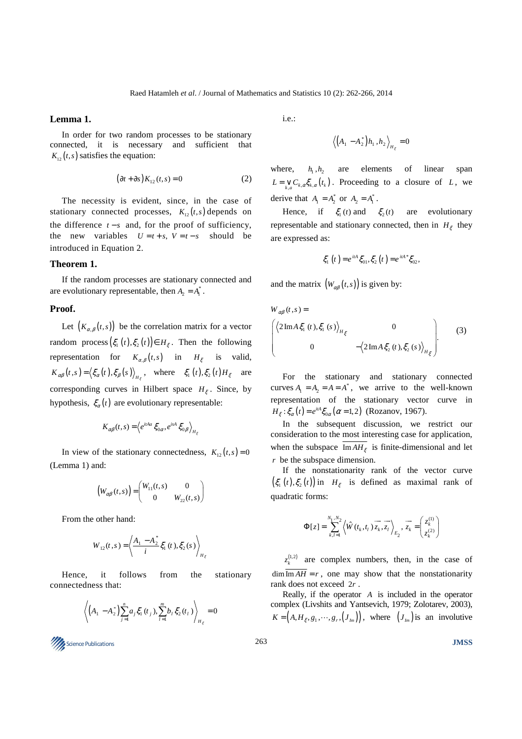### **Lemma 1.**

In order for two random processes to be stationary connected, it is necessary and sufficient that  $K_{12}(t,s)$  satisfies the equation:

$$
(\partial t + \partial s) K_{12}(t, s) = 0 \tag{2}
$$

The necessity is evident, since, in the case of stationary connected processes,  $K_{12}(t,s)$  depends on the difference  $t - s$  and, for the proof of sufficiency, the new variables  $U = t + s$ ,  $V = t - s$  should be introduced in Equation 2.

### **Theorem 1.**

If the random processes are stationary connected and are evolutionary representable, then  $A_2 = A_1^*$ .

#### **Proof.**

Let  $(K_{\alpha,\beta}(t,s))$  be the correlation matrix for a vector random process  $(\xi_1(t), \xi_2(t)) \in H_{\xi}$ . Then the following representation for  $K_{\alpha,\beta}(t,s)$  in  $H_{\xi}$  is valid,  $K_{\alpha\beta}(t,s) = \langle \xi_{\alpha}(t), \xi_{\beta}(s) \rangle_{H_{\xi}}$ , where  $\xi_{1}(t), \xi_{2}(t)H_{\xi}$  are corresponding curves in Hilbert space  $H_{\xi}$ . Since, by hypothesis,  $\xi_{\alpha}(t)$  are evolutionary representable:

$$
K_{\alpha\beta}(t,s) = \left\langle e^{itAa} \xi_{0\alpha}, e^{isA} \xi_{0\beta} \right\rangle_{H_{\xi}}
$$

In view of the stationary connectedness,  $K_{12}(t,s) = 0$ (Lemma 1) and:

$$
\left(W_{\alpha\beta}(t,s)\right) = \begin{pmatrix} W_{11}(t,s) & 0 \\ 0 & W_{22}(t,s) \end{pmatrix}
$$

From the other hand:

$$
W_{12}(t,s) = \left\langle \frac{A_1 - A_2^*}{i} \xi_1(t), \xi_2(s) \right\rangle_{H_{\xi}}
$$

Hence, it follows from the stationary connectedness that:

$$
\left\langle \left( A_1 - A_2^* \right) \sum_{j=1}^n a_j \xi_1(t_j), \sum_{l=1}^m b_l \xi_2(t_l) \right\rangle_{H_{\xi}} = 0
$$

**IMSS** 3 Dence Publications **JMSS JMSS** 

i.e.:

$$
\left\langle \left(A_1 - A_2^*\right)h_1, h_2 \right\rangle_{H_\xi} = 0
$$

where,  $h_1, h_2$  are elements of linear span  $L = \bigvee_{k,a} C_{k,\alpha} \xi_{k,\alpha}(t_k)$ . Proceeding to a closure of *L*, we derive that  $A_1 = A_2^*$  or  $A_2 = A_1^*$ .

Hence, if  $\xi_1(t)$  and  $\xi_2$ are evolutionary representable and stationary connected, then in  $H_{\xi}$  they are expressed as:

$$
\xi_1(t) = e^{itA} \xi_{01}, \xi_2(t) = e^{itA} \xi_{02},
$$

and the matrix  $(W_{\alpha\beta}(t,s))$  is given by:

$$
W_{\alpha\beta}(t,s) =
$$
\n
$$
\begin{pmatrix} 2\operatorname{Im}A\xi_{1}(t), \xi_{1}(s) \rangle_{H_{\xi}} & 0 \\ 0 & -\langle 2\operatorname{Im}A\xi_{2}(t), \xi_{2}(s) \rangle_{H_{\xi}} \end{pmatrix}.
$$
\n(3)

For the stationary and stationary connected curves  $A_1 = A_2 = A = A^*$ , we arrive to the well-known representation of the stationary vector curve in  $H_{\xi}$ :  $\xi_{\alpha}(t) = e^{i\alpha t} \xi_{0\alpha}(\alpha = 1,2)$  (Rozanov, 1967).

In the subsequent discussion, we restrict our consideration to the most interesting case for application, when the subspace  $\text{Im} AH_{\xi}$  is finite-dimensional and let *r* be the subspace dimension.

If the nonstationarity rank of the vector curve  $(\xi_1(t), \xi_2(t))$  in  $H_{\xi}$  is defined as maximal rank of quadratic forms:

$$
\Phi[z] = \sum_{k,l=1}^{N_1,N_2} \left\langle \hat{W}(t_k,t_l) \overrightarrow{z_k}, \overrightarrow{z_l} \right\rangle_{E_2}, \overrightarrow{z_k} = \begin{pmatrix} z_k^{(1)} \\ z_k^{(2)} \end{pmatrix}
$$

 $z_k^{(1,2)}$  are complex numbers, then, in the case of  $\dim \overline{\mathrm{Im} A H} = r$ , one may show that the nonstationarity rank does not exceed 2*r* .

Really, if the operator *A* is included in the operator complex (Livshits and Yantsevich, 1979; Zolotarev, 2003),  $K = (A, H_z, g_1, \dots, g_r, (J_m))$ , where  $(J_m)$  is an involutive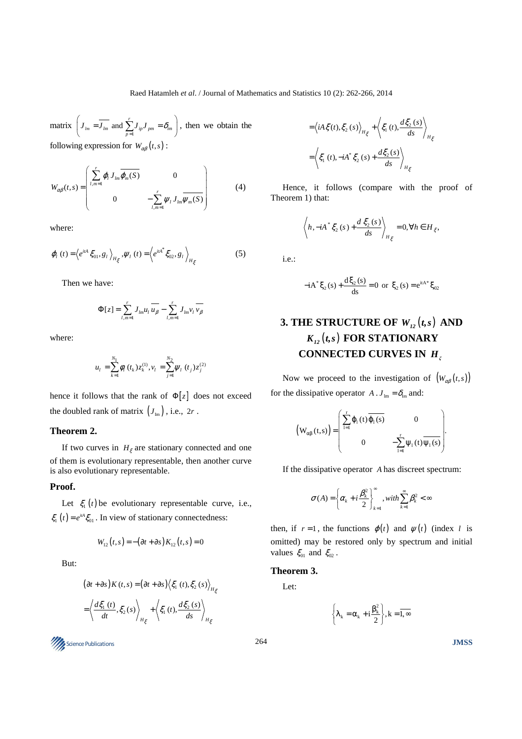matrix  $J_{lm} = J_{lm}$  and  $\sum_{p=1}^{n} J_{ip} J_{pm}$  $\left(J_{lm} = \overline{J_{lm}} \text{ and } \sum_{p=1}^{r} J_{ip} J_{pm} = \delta_{im} \right)$ , then we obtain the following expression for  $W_{\alpha\beta}(t,s)$ :

$$
W_{\alpha\beta}(t,s) = \begin{pmatrix} \sum_{l,m=1}^{r} \varphi_l J_{lm} \overline{\varphi_m(S)} & 0 \\ 0 & -\sum_{l,m=1}^{r} \psi_l J_{lm} \overline{\psi_m(S)} \end{pmatrix}
$$
(4)

where:

$$
\varphi_{l}(t) = \left\langle e^{itA} \xi_{01}, g_{l} \right\rangle_{H_{\xi}}, \psi_{l}(t) = \left\langle e^{itA^{*}} \xi_{02}, g_{l} \right\rangle_{H_{\xi}} \tag{5}
$$

Then we have:

$$
\Phi[z] = \sum_{l,m=1}^{r} J_{lm} u_l \overline{u_{\beta}} - \sum_{l,m=1}^{r} J_{lm} v_l \overline{v_{\beta}}
$$

where:

$$
u_{l} = \sum_{k=1}^{N_{1}} \phi_{l} (t_{k}) z_{k}^{(1)}, v_{l} = \sum_{j=1}^{N_{2}} \psi_{l} (t_{j}) z_{j}^{(2)}
$$

hence it follows that the rank of  $\Phi[z]$  does not exceed the doubled rank of matrix  $(J_{Im})$ , i.e.,  $2r$ .

## **Theorem 2.**

If two curves in  $H_{\xi}$  are stationary connected and one of them is evolutionary representable, then another curve is also evolutionary representable.

#### **Proof.**

Let  $\xi_1(t)$  be evolutionary representable curve, i.e.,  $\xi_1(t) = e^{itA} \xi_{01}$ . In view of stationary connectedness:

$$
W_{12}(t,s) = -(\partial t + \partial s) K_{12}(t,s) = 0
$$

But:

$$
(\partial t + \partial s) K(t, s) = (\partial t + \partial s) \langle \xi_1(t), \xi_2(s) \rangle_{H_{\xi}}
$$
  
=  $\langle \frac{d\xi_1(t)}{dt}, \xi_2(s) \rangle_{H_{\xi}} + \langle \xi_1(t), \frac{d\xi_2(s)}{ds} \rangle_{H_{\xi}}$ 

264 Science Publications **JMSS** 

$$
= \left\langle iA \xi(t), \xi_2(s) \right\rangle_{H_{\xi}} + \left\langle \xi_1(t), \frac{d\xi_2(s)}{ds} \right\rangle_{H_{\xi}}
$$

$$
= \left\langle \xi_1(t), -iA^* \xi_2(s) + \frac{d\xi_2(s)}{ds} \right\rangle_{H_{\xi}}
$$

Hence, it follows (compare with the proof of Theorem 1) that:

$$
\left\langle h, -iA^* \xi_2(s) + \frac{d \xi_2(s)}{ds} \right\rangle_{H_{\xi}} = 0, \forall h \in H_{\xi},
$$

i.e.:

$$
-iA^* \xi_2(s) + \frac{d\xi_2(s)}{ds} = 0 \text{ or } \xi_2(s) = e^{itA^*} \xi_{02}
$$

# **3. THE STRUCTURE OF**  $W_{12}(t,s)$  **AND**  $K_{12}(t,s)$  **FOR STATIONARY CONNECTED CURVES IN** *H<sup>ξ</sup>*

Now we proceed to the investigation of  $(W_{\alpha\beta}(t,s))$ for the dissipative operator  $A \cdot J_{lm} = \delta_{lm}$  and:

$$
\left(W_{\alpha\beta}(t,s)\right) = \begin{pmatrix} \sum_{l=1}^{r} \phi_l\left(t\right) \overline{\phi_l\left(s\right)} & 0 \\ 0 & -\sum_{l=1}^{r} \psi_l\left(t\right) \overline{\psi_l\left(s\right)} \end{pmatrix}.
$$

If the dissipative operator *A* has discreet spectrum:

$$
\sigma(A) = \left\{ \alpha_k + i \frac{\beta_k^2}{2} \right\}_{k=1}^{\infty}, with \sum_{k=1}^{\infty} \beta_k^2 < \infty
$$

then, if  $r = 1$ , the functions  $\varphi(t)$  and  $\psi(t)$  (index *l* is omitted) may be restored only by spectrum and initial values  $\xi_{01}$  and  $\xi_{02}$ .

# **Theorem 3.**

Let:

$$
\left\{\lambda_k = \alpha_k + i\frac{\beta_k^2}{2}\right\}, k = \overline{1, \infty}
$$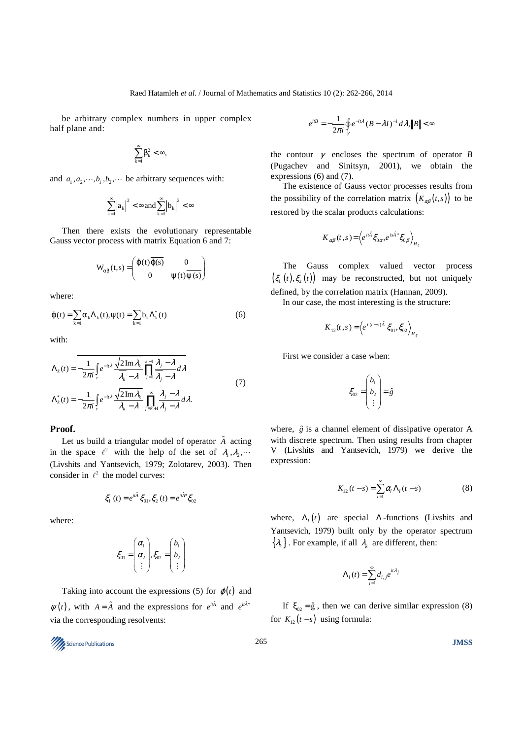be arbitrary complex numbers in upper complex half plane and:

$$
\sum_{k=1}^{\infty}\beta_k^2<\infty,
$$

and  $a_1, a_2, \dots, b_n, b_2, \dots$  be arbitrary sequences with:

$$
\sum_{k=l}^{\infty}\Bigl|a_k\Bigr|^2<\infty\,and\,\sum_{k=l}^{\infty}\Bigl|b_k\Bigr|^2<\infty
$$

Then there exists the evolutionary representable Gauss vector process with matrix Equation 6 and 7:

$$
W_{\alpha\beta}(t,s) = \begin{pmatrix} \varphi(t)\overline{\varphi(s)} & 0\\ 0 & \psi(t)\overline{\psi(s)} \end{pmatrix}
$$

where:

$$
\varphi(t) = \sum_{k=1} \alpha_k \Lambda_k(t), \psi(t) = \sum_{k=1} b_k \Lambda_k^*(t)
$$
 (6)

with:

$$
\Lambda_{k}(t) = -\frac{1}{2\pi i} \int_{r} e^{-it\lambda} \frac{\sqrt{2 \operatorname{Im} \lambda_{k}}}{\overline{\lambda_{k}} - \lambda} \prod_{j=1}^{k-1} \frac{\lambda_{j} - \lambda}{\overline{\lambda_{j}} - \lambda} d\lambda
$$
\n
$$
\Lambda_{k}^{*}(t) = -\frac{1}{2\pi i} \int_{r} e^{-it\lambda} \frac{\sqrt{2 \operatorname{Im} \lambda_{k}}}{\lambda_{k} - \lambda} \prod_{j=k+1}^{\infty} \frac{\overline{\lambda_{j}} - \lambda}{\lambda_{j} - \lambda} d\lambda. \tag{7}
$$

### **Proof.**

Let us build a triangular model of operator  $\hat{A}$  acting in the space  $\ell^2$  with the help of the set of  $\lambda_1, \lambda_2, \cdots$ (Livshits and Yantsevich, 1979; Zolotarev, 2003). Then consider in  $\ell^2$  the model curves:

$$
\xi_1(t) = e^{it\hat{A}} \xi_{01}, \xi_2(t) = e^{it\hat{A}^*} \xi_{02}
$$

where:

$$
\xi_{01} = \begin{pmatrix} \alpha_1 \\ \alpha_2 \\ \vdots \end{pmatrix}, \xi_{02} = \begin{pmatrix} b_1 \\ b_2 \\ \vdots \end{pmatrix}
$$

Taking into account the expressions (5) for  $\varphi(t)$  and  $\psi(t)$ , with  $A = \hat{A}$  and the expressions for  $e^{it\hat{A}}$  and  $e^{it\hat{A}^*}$ via the corresponding resolvents:

$$
e^{itB}=-\frac{1}{2\pi i}\oint\limits_{\gamma}e^{-it\lambda}\left(B-\lambda I\right)^{-1}d\lambda,\left\Vert B\right\Vert <\infty
$$

the contour  $\gamma$  encloses the spectrum of operator *B* (Pugachev and Sinitsyn, 2001), we obtain the expressions (6) and (7).

The existence of Gauss vector processes results from the possibility of the correlation matrix  $(K_{\alpha\beta}(t,s))$  to be restored by the scalar products calculations:

$$
K_{\alpha\beta}(t,s) = \left\langle e^{it\hat{A}} \xi_{0\alpha}, e^{is\hat{A}^*} \xi_{0\beta} \right\rangle_{H_{\xi}}
$$

The Gauss complex valued vector process  $(\xi_1(t), \xi_2(t))$  may be reconstructed, but not uniquely defined, by the correlation matrix (Hannan, 2009).

In our case, the most interesting is the structure:

$$
K_{12}(t,s) = \left\langle e^{i(t-s)\hat{A}} \xi_{01}, \xi_{02} \right\rangle_{H_{\xi}}
$$

First we consider a case when:

$$
\xi_{02} = \begin{pmatrix} b_1 \\ b_2 \\ \vdots \end{pmatrix} = \hat{g}
$$

where,  $\hat{g}$  is a channel element of dissipative operator A with discrete spectrum. Then using results from chapter V (Livshits and Yantsevich, 1979) we derive the expression:

$$
K_{12}(t-s) = \sum_{l=1}^{\infty} \alpha_l \Lambda_l(t-s)
$$
 (8)

where,  $\Lambda_l(t)$  are special  $\Lambda$ -functions (Livshits and Yantsevich, 1979) built only by the operator spectrum  $\{\lambda_k\}$ . For example, if all  $\lambda_k$  are different, then:

$$
\Lambda_l(t) = \sum_{j=1}^{\infty} d_{l,j} e^{it\lambda_j}
$$

If  $\xi_{02} = \hat{g}$ , then we can derive similar expression (8) for  $K_{12}(t-s)$  using formula: